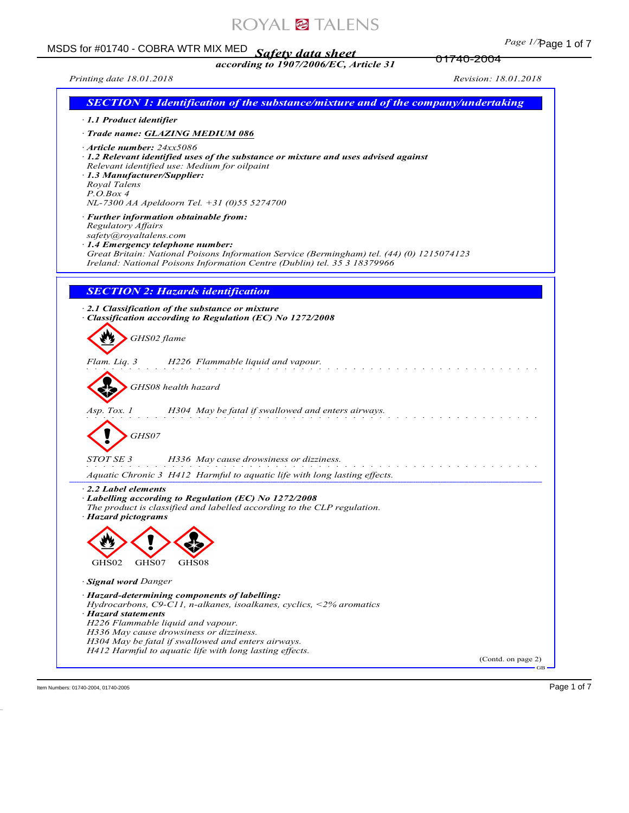# ROYAL<sup>@</sup>TALENS

# Page 1 of 7 MSDS for #01740 - COBRA WTR MIX MED *Safety data sheet according to 1907/2006/EC, Article 31*

*Printing date 18.01.2018 Revision: 18.01.2018*

01740-2004

| <b>SECTION 1: Identification of the substance/mixture and of the company/undertaking</b>                                                                                                                                                                                                                                                        |                             |
|-------------------------------------------------------------------------------------------------------------------------------------------------------------------------------------------------------------------------------------------------------------------------------------------------------------------------------------------------|-----------------------------|
| 1.1 Product identifier                                                                                                                                                                                                                                                                                                                          |                             |
| · Trade name: GLAZING MEDIUM 086                                                                                                                                                                                                                                                                                                                |                             |
| · Article number: 24xx5086<br>· 1.2 Relevant identified uses of the substance or mixture and uses advised against<br>Relevant identified use: Medium for oilpaint<br>· 1.3 Manufacturer/Supplier:<br>Royal Talens<br>P. O. Box 4<br>NL-7300 AA Apeldoorn Tel. +31 (0)55 5274700                                                                 |                             |
| · Further information obtainable from:<br>Regulatory Affairs<br>safety@royaltalens.com<br>· 1.4 Emergency telephone number:<br>Great Britain: National Poisons Information Service (Bermingham) tel. (44) (0) 1215074123<br>Ireland: National Poisons Information Centre (Dublin) tel. 35 3 18379966                                            |                             |
|                                                                                                                                                                                                                                                                                                                                                 |                             |
| <b>SECTION 2: Hazards identification</b>                                                                                                                                                                                                                                                                                                        |                             |
| 2.1 Classification of the substance or mixture<br>Classification according to Regulation (EC) No 1272/2008                                                                                                                                                                                                                                      |                             |
| GHS02 flame                                                                                                                                                                                                                                                                                                                                     |                             |
| H226 Flammable liquid and vapour.<br>Flam. Liq. 3                                                                                                                                                                                                                                                                                               |                             |
| GHS08 health hazard                                                                                                                                                                                                                                                                                                                             |                             |
| Asp. Tox. 1<br>H304 May be fatal if swallowed and enters airways.                                                                                                                                                                                                                                                                               |                             |
| GHS07                                                                                                                                                                                                                                                                                                                                           |                             |
| <i>STOT SE 3</i><br>H336 May cause drowsiness or dizziness.                                                                                                                                                                                                                                                                                     |                             |
| Aquatic Chronic 3 H412 Harmful to aquatic life with long lasting effects.                                                                                                                                                                                                                                                                       |                             |
| 2.2 Label elements<br>Labelling according to Regulation (EC) No 1272/2008<br>The product is classified and labelled according to the CLP regulation.<br>· Hazard pictograms                                                                                                                                                                     |                             |
|                                                                                                                                                                                                                                                                                                                                                 |                             |
| GHS02<br>GHS07<br>GHS08                                                                                                                                                                                                                                                                                                                         |                             |
| <b>Signal word Danger</b>                                                                                                                                                                                                                                                                                                                       |                             |
| · Hazard-determining components of labelling:<br>Hydrocarbons, $C9$ -C11, n-alkanes, isoalkanes, cyclics, <2% aromatics<br>· Hazard statements<br>H226 Flammable liquid and vapour.<br>H336 May cause drowsiness or dizziness.<br>H304 May be fatal if swallowed and enters airways.<br>H412 Harmful to aquatic life with long lasting effects. |                             |
|                                                                                                                                                                                                                                                                                                                                                 | (Contd. on page 2)<br>$-GB$ |

Item Numbers: 01740-2004, 01740-2005 Page 1 of 7

46.0.18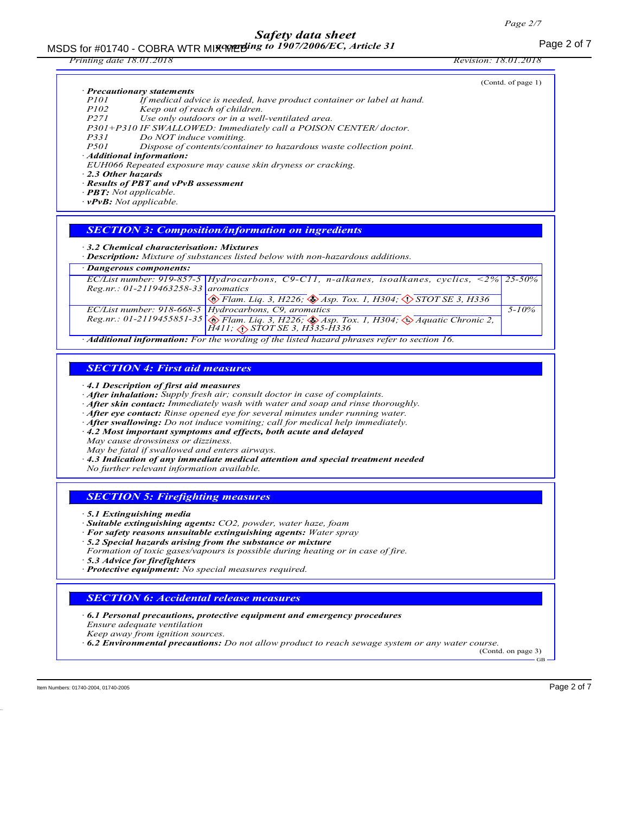#### MSDS for #01740 - COBRA WTR MIX WERE to 1907/2006/EC, Article 31 *according to 1907/2006/EC, Article 31*

| <i>Printing date 18.01.2018</i>                                                                                        |                                                                                                                                                                                                                                                                                                                               | <i>Revision: 18.01.2018</i> |
|------------------------------------------------------------------------------------------------------------------------|-------------------------------------------------------------------------------------------------------------------------------------------------------------------------------------------------------------------------------------------------------------------------------------------------------------------------------|-----------------------------|
| · Precautionary statements<br><i>P101</i>                                                                              | If medical advice is needed, have product container or label at hand.                                                                                                                                                                                                                                                         | (Contd. of page 1)          |
| <i>P102</i><br>Keep out of reach of children.<br>P271<br>P331<br>Do NOT induce vomiting.                               | Use only outdoors or in a well-ventilated area.<br>P301+P310 IF SWALLOWED: Immediately call a POISON CENTER/doctor.                                                                                                                                                                                                           |                             |
| <i>P501</i><br>Additional information:                                                                                 | Dispose of contents/container to hazardous waste collection point.<br>EUH066 Repeated exposure may cause skin dryness or cracking.                                                                                                                                                                                            |                             |
| 2.3 Other hazards<br>· Results of PBT and vPvB assessment<br>$-BB$ T: Not applicable.<br>$\cdot$ vPvB: Not applicable. |                                                                                                                                                                                                                                                                                                                               |                             |
|                                                                                                                        | <b>SECTION 3: Composition/information on ingredients</b>                                                                                                                                                                                                                                                                      |                             |
| 3.2 Chemical characterisation: Mixtures                                                                                | · Description: Mixture of substances listed below with non-hazardous additions.                                                                                                                                                                                                                                               |                             |
| Dangerous components:                                                                                                  |                                                                                                                                                                                                                                                                                                                               |                             |
| Reg.nr.: 01-2119463258-33 aromatics                                                                                    | EC/List number: 919-857-5 Hydrocarbons, C9-C11, n-alkanes, isoalkanes, cyclics, $\langle 2\% \rangle$                                                                                                                                                                                                                         | $25 - 50\%$                 |
|                                                                                                                        | $\otimes$ Flam. Liq. 3, H226; $\otimes$ Asp. Tox. 1, H304; $\otimes$ STOT SE 3, H336                                                                                                                                                                                                                                          |                             |
|                                                                                                                        | EC/List number: 918-668-5 Hydrocarbons, C9, aromatics<br>Reg.nr.: 01-2119455851-35 $\otimes$ Flam. Liq. 3, H226; $\otimes$ Asp. Tox. 1, H304; $\otimes$ Aquatic Chronic 2,<br>$H411$ ; $\diamondsuit$ STOT SE 3, H335-H336                                                                                                    | $5 - 10\%$                  |
|                                                                                                                        | Additional information: For the wording of the listed hazard phrases refer to section 16.                                                                                                                                                                                                                                     |                             |
| <b>SECTION 4: First aid measures</b><br>4.1 Description of first aid measures                                          | After inhalation: Supply fresh air; consult doctor in case of complaints.                                                                                                                                                                                                                                                     |                             |
| May cause drowsiness or dizziness.                                                                                     | · After skin contact: Immediately wash with water and soap and rinse thoroughly.<br>After eye contact: Rinse opened eye for several minutes under running water.<br>$\cdot$ After swallowing: Do not induce vomiting; call for medical help immediately.<br>· 4.2 Most important symptoms and effects, both acute and delayed |                             |
| May be fatal if swallowed and enters airways.<br>No further relevant information available.                            | $\cdot$ 4.3 Indication of any immediate medical attention and special treatment needed                                                                                                                                                                                                                                        |                             |
| <b>SECTION 5: Firefighting measures</b>                                                                                |                                                                                                                                                                                                                                                                                                                               |                             |
| 5.1 Extinguishing media<br>5.3 Advice for firefighters                                                                 | · Suitable extinguishing agents: CO2, powder, water haze, foam<br>· For safety reasons unsuitable extinguishing agents: Water spray<br>5.2 Special hazards arising from the substance or mixture<br>Formation of toxic gases/vapours is possible during heating or in case of fire.                                           |                             |
| · Protective equipment: No special measures required.                                                                  |                                                                                                                                                                                                                                                                                                                               |                             |
| <b>SECTION 6: Accidental release measures</b>                                                                          |                                                                                                                                                                                                                                                                                                                               |                             |
| Ensure adequate ventilation<br>Keep away from ignition sources.                                                        | $\cdot$ 6.1 Personal precautions, protective equipment and emergency procedures<br>$\cdot$ 6.2 Environmental precautions: Do not allow product to reach sewage system or any water course.                                                                                                                                    |                             |
|                                                                                                                        |                                                                                                                                                                                                                                                                                                                               | (Contd. on page 3)          |

Item Numbers: 01740-2004, 01740-2005 Page 2 of 7

46.0.18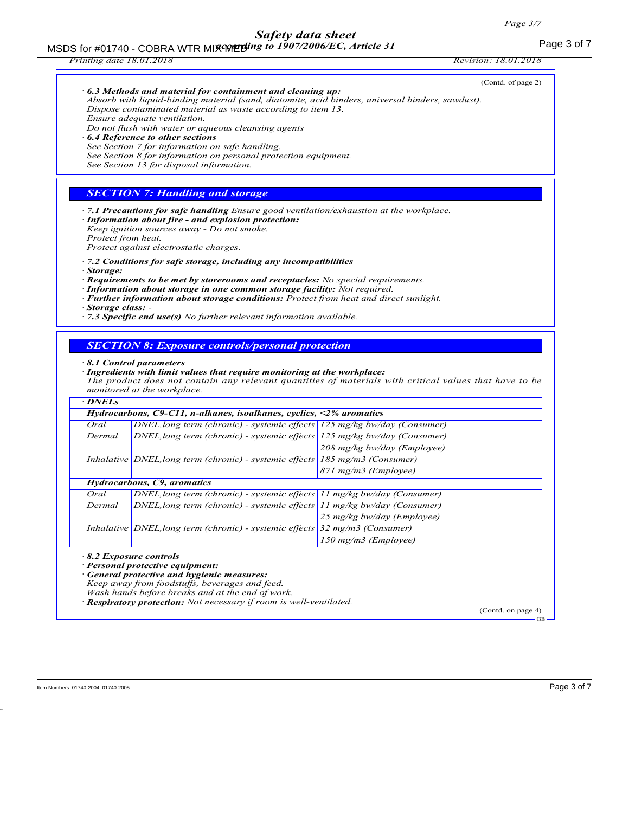|                                                    |                                                                                                                                                                                                                                                                                                                                                                                                                                                                                                                                                                         | <i>Revision: 18.01.2018</i>                                                                            |
|----------------------------------------------------|-------------------------------------------------------------------------------------------------------------------------------------------------------------------------------------------------------------------------------------------------------------------------------------------------------------------------------------------------------------------------------------------------------------------------------------------------------------------------------------------------------------------------------------------------------------------------|--------------------------------------------------------------------------------------------------------|
|                                                    | $\cdot$ 6.3 Methods and material for containment and cleaning up:<br>Absorb with liquid-binding material (sand, diatomite, acid binders, universal binders, sawdust).<br>Dispose contaminated material as waste according to item 13.<br>Ensure adequate ventilation.<br>Do not flush with water or aqueous cleansing agents<br><b>6.4 Reference to other sections</b><br>See Section 7 for information on safe handling.<br>See Section 8 for information on personal protection equipment.<br>See Section 13 for disposal information.                                | (Contd. of page 2)                                                                                     |
|                                                    | <b>SECTION 7: Handling and storage</b>                                                                                                                                                                                                                                                                                                                                                                                                                                                                                                                                  |                                                                                                        |
| Protect from heat.<br>Storage:<br>Storage class: - | · Information about fire - and explosion protection:<br>Keep ignition sources away - Do not smoke.<br>Protect against electrostatic charges.<br>$\cdot$ 7.2 Conditions for safe storage, including any incompatibilities<br>$\cdot$ Requirements to be met by storerooms and receptacles: No special requirements.<br>· Information about storage in one common storage facility: Not required.<br>· Further information about storage conditions: Protect from heat and direct sunlight.<br>$\cdot$ 7.3 Specific end use(s) No further relevant information available. |                                                                                                        |
|                                                    | <b>SECTION 8: Exposure controls/personal protection</b><br>8.1 Control parameters<br>· Ingredients with limit values that require monitoring at the workplace:                                                                                                                                                                                                                                                                                                                                                                                                          |                                                                                                        |
|                                                    |                                                                                                                                                                                                                                                                                                                                                                                                                                                                                                                                                                         | The product does not contain any relevant quantities of materials with critical values that have to be |
|                                                    | monitored at the workplace.                                                                                                                                                                                                                                                                                                                                                                                                                                                                                                                                             |                                                                                                        |
| $\cdot$ DNELs                                      |                                                                                                                                                                                                                                                                                                                                                                                                                                                                                                                                                                         |                                                                                                        |
|                                                    | Hydrocarbons, $C9$ -C11, n-alkanes, isoalkanes, cyclics, <2% aromatics                                                                                                                                                                                                                                                                                                                                                                                                                                                                                                  |                                                                                                        |
| Oral<br>Dermal                                     | DNEL, long term (chronic) - systemic effects 125 mg/kg bw/day (Consumer)                                                                                                                                                                                                                                                                                                                                                                                                                                                                                                |                                                                                                        |
|                                                    | $DNEL$ , long term (chronic) - systemic effects $125$ mg/kg bw/day (Consumer)<br>Inhalative <i>DNEL</i> , long term (chronic) - systemic effects $185 \text{ mg/m}$ (Consumer)                                                                                                                                                                                                                                                                                                                                                                                          | 208 mg/kg bw/day (Employee)                                                                            |
|                                                    |                                                                                                                                                                                                                                                                                                                                                                                                                                                                                                                                                                         | 871 mg/m3 (Employee)                                                                                   |
|                                                    | Hydrocarbons, C9, aromatics                                                                                                                                                                                                                                                                                                                                                                                                                                                                                                                                             |                                                                                                        |
| Oral                                               | DNEL, long term (chronic) - systemic effects 11 mg/kg bw/day (Consumer)                                                                                                                                                                                                                                                                                                                                                                                                                                                                                                 |                                                                                                        |
| Dermal                                             | DNEL, long term (chronic) - systemic effects 11 mg/kg bw/day (Consumer)                                                                                                                                                                                                                                                                                                                                                                                                                                                                                                 |                                                                                                        |
|                                                    |                                                                                                                                                                                                                                                                                                                                                                                                                                                                                                                                                                         | 25 mg/kg bw/day (Employee)                                                                             |
|                                                    | Inhalative DNEL, long term (chronic) - systemic effects                                                                                                                                                                                                                                                                                                                                                                                                                                                                                                                 | $32$ mg/m3 (Consumer)<br>150 mg/m3 (Employee)                                                          |

46.0.18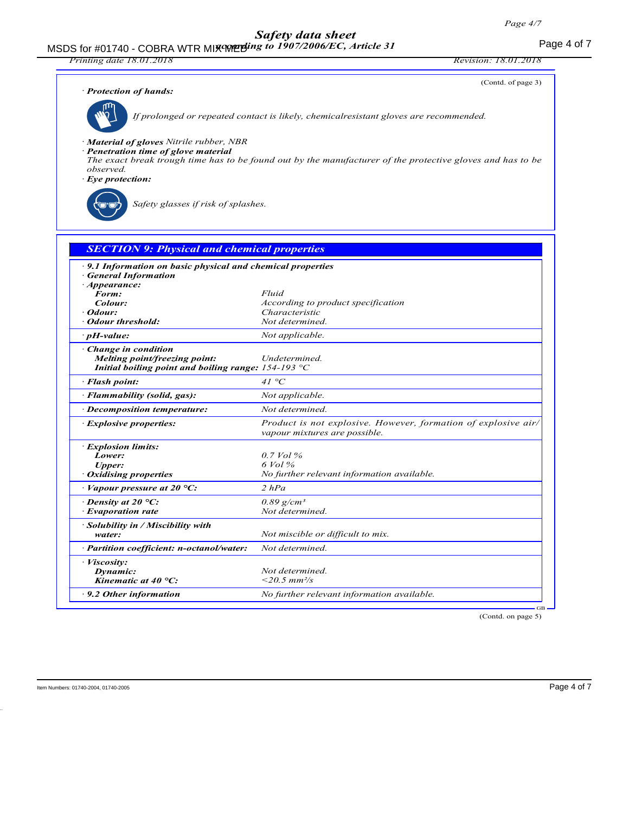*Printing date 18.01.2018 Revision: 18.01.2018*

(Contd. of page 3)

|  | · Protection of hands: |  |  |
|--|------------------------|--|--|
|--|------------------------|--|--|



*If prolonged or repeated contact is likely, chemicalresistant gloves are recommended.*

*· Material of gloves Nitrile rubber, NBR*

- *· Penetration time of glove material*
- *The exact break trough time has to be found out by the manufacturer of the protective gloves and has to be observed.*
- *· Eye protection:*

*Safety glasses if risk of splashes.*

| <b>SECTION 9: Physical and chemical properties</b>                                       |                                                                                                 |
|------------------------------------------------------------------------------------------|-------------------------------------------------------------------------------------------------|
| •9.1 Information on basic physical and chemical properties<br><b>General Information</b> |                                                                                                 |
| · Appearance:                                                                            |                                                                                                 |
| Form:                                                                                    | Fluid                                                                                           |
| Colour:                                                                                  | According to product specification                                                              |
| · Odour:                                                                                 | Characteristic<br>Not determined.                                                               |
| • Odour threshold:                                                                       |                                                                                                 |
| $\cdot$ pH-value:                                                                        | Not applicable.                                                                                 |
| Change in condition                                                                      |                                                                                                 |
| Melting point/freezing point:                                                            | Undetermined.                                                                                   |
| Initial boiling point and boiling range: $154-193$ °C                                    |                                                                                                 |
| · Flash point:                                                                           | 41 °C                                                                                           |
| · Flammability (solid, gas):                                                             | Not applicable.                                                                                 |
| · Decomposition temperature:                                                             | Not determined.                                                                                 |
| <b>Explosive properties:</b>                                                             | Product is not explosive. However, formation of explosive air/<br>vapour mixtures are possible. |
| <b>Explosion limits:</b>                                                                 |                                                                                                 |
| Lower:                                                                                   | $0.7$ Vol %                                                                                     |
| <b>Upper:</b>                                                                            | $6$ Vol $\%$                                                                                    |
| · Oxidising properties                                                                   | No further relevant information available.                                                      |
| $\cdot$ Vapour pressure at 20 °C:                                                        | 2 hPa                                                                                           |
| $\cdot$ Density at 20 °C:                                                                | $0.89$ g/cm <sup>3</sup>                                                                        |
| · Evaporation rate                                                                       | Not determined.                                                                                 |
| $\cdot$ Solubility in / Miscibility with                                                 |                                                                                                 |
| water:                                                                                   | Not miscible or difficult to mix.                                                               |
| · Partition coefficient: n-octanol/water:                                                | Not determined.                                                                                 |
| · Viscosity:                                                                             |                                                                                                 |
| Dynamic:                                                                                 | Not determined.                                                                                 |
| Kinematic at 40 $^{\circ}$ C:                                                            | $<$ 20.5 mm <sup>2</sup> /s                                                                     |
| $\cdot$ 9.2 Other information                                                            | No further relevant information available.                                                      |

(Contd. on page 5)

GB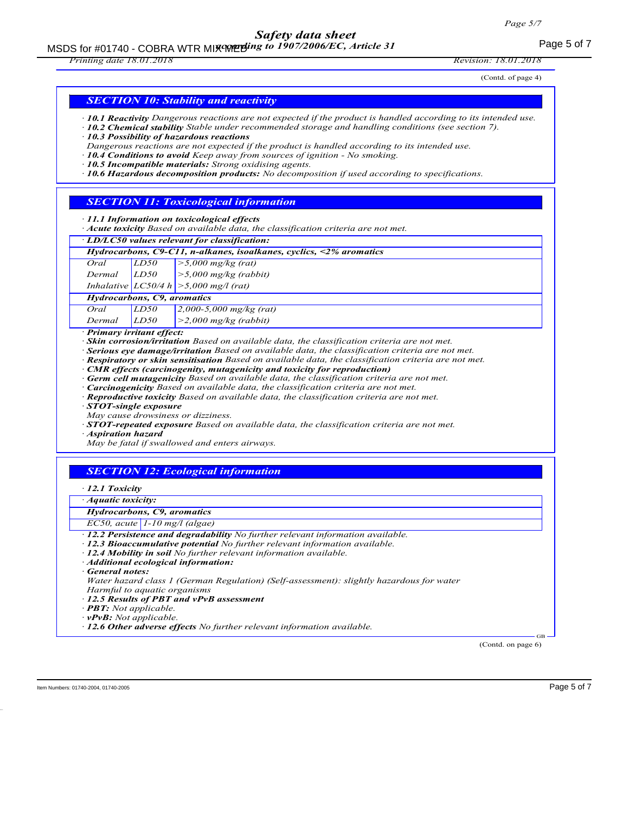## MSDS for #01740 - COBRA WTR MIX WERE to 1907/2006/EC, Article 31

#### *Printing date 18.01.2018 Revision: 18.01.2018*

(Contd. of page 4)

### *SECTION 10: Stability and reactivity*

- *· 10.1 Reactivity Dangerous reactions are not expected if the product is handled according to its intended use.*
- *· 10.2 Chemical stability Stable under recommended storage and handling conditions (see section 7). · 10.3 Possibility of hazardous reactions*
- *Dangerous reactions are not expected if the product is handled according to its intended use.*
- *· 10.4 Conditions to avoid Keep away from sources of ignition No smoking.*
- *· 10.5 Incompatible materials: Strong oxidising agents.*
- *· 10.6 Hazardous decomposition products: No decomposition if used according to specifications.*

#### *SECTION 11: Toxicological information*

#### *· 11.1 Information on toxicological effects*

*· Acute toxicity Based on available data, the classification criteria are not met.*

|  |  |  |  |  | · LD/LC50 values relevant for classification: |  |
|--|--|--|--|--|-----------------------------------------------|--|
|--|--|--|--|--|-----------------------------------------------|--|

|                             |      | Hydrocarbons, C9-C11, n-alkanes, isoalkanes, cyclics, $\leq$ % aromatics |
|-----------------------------|------|--------------------------------------------------------------------------|
|                             |      |                                                                          |
|                             |      |                                                                          |
|                             |      | Inhalative $ LCS0/4 h  > 5,000$ mg/l (rat)                               |
| Hydrocarbons, C9, aromatics |      |                                                                          |
| Oral                        | LD50 | $\frac{2,000-5,000}{2}$ mg/kg (rat)                                      |
| Dermal                      | LD50 | $>$ 2,000 mg/kg (rabbit)                                                 |

*· Primary irritant effect:*

*· Skin corrosion/irritation Based on available data, the classification criteria are not met.*

*· Serious eye damage/irritation Based on available data, the classification criteria are not met.*

- *· Respiratory or skin sensitisation Based on available data, the classification criteria are not met.*
- *· CMR effects (carcinogenity, mutagenicity and toxicity for reproduction)*
- *· Germ cell mutagenicity Based on available data, the classification criteria are not met.*
- *· Carcinogenicity Based on available data, the classification criteria are not met.*
- *· Reproductive toxicity Based on available data, the classification criteria are not met.*
- *· STOT-single exposure*
- *May cause drowsiness or dizziness.*
- *· STOT-repeated exposure Based on available data, the classification criteria are not met.*

*· Aspiration hazard*

*May be fatal if swallowed and enters airways.*

### *SECTION 12: Ecological information*

#### *· 12.1 Toxicity*

*· Aquatic toxicity:*

#### *Hydrocarbons, C9, aromatics*

- *EC50, acute 1-10 mg/l (algae)*
- *· 12.2 Persistence and degradability No further relevant information available.*
- *· 12.3 Bioaccumulative potential No further relevant information available.*
- *· 12.4 Mobility in soil No further relevant information available.*
- *· Additional ecological information:*
- *· General notes:*

*Water hazard class 1 (German Regulation) (Self-assessment): slightly hazardous for water Harmful to aquatic organisms*

- *· 12.5 Results of PBT and vPvB assessment*
- *· PBT: Not applicable.*
- *· vPvB: Not applicable.*
- *· 12.6 Other adverse effects No further relevant information available.*

(Contd. on page 6)

GB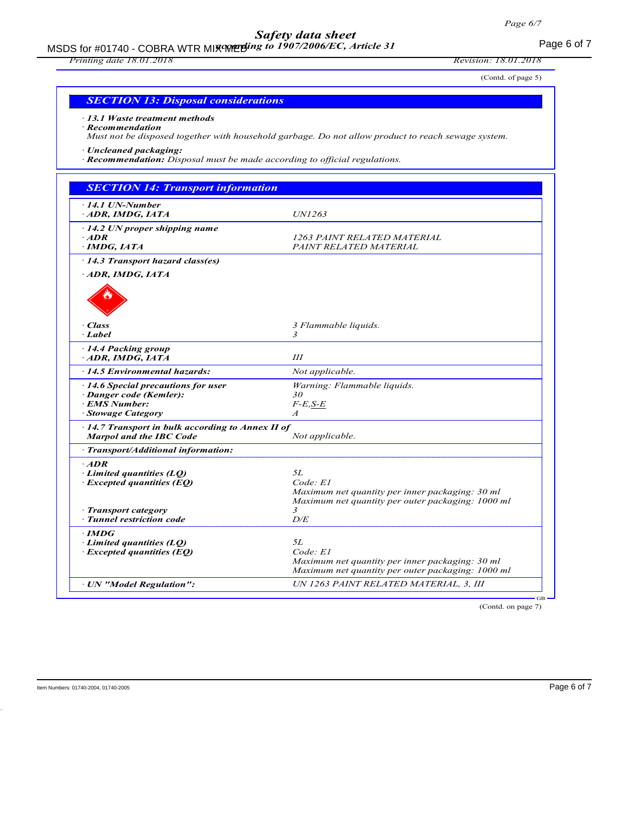MSDS for #01740 - COBRA WTR MIX WERE for 1907/2006/EC, Article 31 *according to 1907/2006/EC, Article 31*

## *Printing date 18.01.2018 Revision: 18.01.2018*

(Contd. of page 5)

| <b>SECTION 13: Disposal considerations</b> |
|--------------------------------------------|
|--------------------------------------------|

*· 13.1 Waste treatment methods*

*· Recommendation Must not be disposed together with household garbage. Do not allow product to reach sewage system.*

*· Uncleaned packaging:*

*· Recommendation: Disposal must be made according to official regulations.*

| $\cdot$ 14.1 UN-Number                            |                                                                                                      |
|---------------------------------------------------|------------------------------------------------------------------------------------------------------|
| ADR, IMDG, IATA                                   | UN1263                                                                                               |
| $-14.2$ UN proper shipping name                   |                                                                                                      |
| $·$ ADR                                           | 1263 PAINT RELATED MATERIAL                                                                          |
| $\cdot$ IMDG, IATA                                | PAINT RELATED MATERIAL                                                                               |
| 14.3 Transport hazard class(es)                   |                                                                                                      |
| ADR, IMDG, IATA                                   |                                                                                                      |
|                                                   |                                                                                                      |
| · Class                                           | 3 Flammable liquids.                                                                                 |
| · Label                                           | 3                                                                                                    |
| 14.4 Packing group                                |                                                                                                      |
| ADR, IMDG, IATA                                   | Ш                                                                                                    |
| 14.5 Environmental hazards:                       | Not applicable.                                                                                      |
| 14.6 Special precautions for user                 | Warning: Flammable liquids.                                                                          |
| · Danger code (Kemler):                           | 30                                                                                                   |
| <b>EMS Number:</b>                                | $F-E$ , $S-E$                                                                                        |
| <b>Stowage Category</b>                           | $\boldsymbol{A}$                                                                                     |
| · 14.7 Transport in bulk according to Annex II of |                                                                                                      |
| <b>Marpol and the IBC Code</b>                    | Not applicable.                                                                                      |
| · Transport/Additional information:               |                                                                                                      |
| $\cdot$ ADR                                       |                                                                                                      |
| $\cdot$ Limited quantities (LQ)                   | 5L                                                                                                   |
| $\cdot$ Excepted quantities (EQ)                  | Code: El                                                                                             |
|                                                   | Maximum net quantity per inner packaging: 30 ml<br>Maximum net quantity per outer packaging: 1000 ml |
| · Transport category                              | 3                                                                                                    |
| · Tunnel restriction code                         | D/E                                                                                                  |
| · IMDG                                            |                                                                                                      |
| Limited quantities $(LO)$                         | 5L                                                                                                   |
| $\cdot$ Excepted quantities (EQ)                  | Code: El                                                                                             |
|                                                   | Maximum net quantity per inner packaging: 30 ml                                                      |
|                                                   | Maximum net quantity per outer packaging: 1000 ml                                                    |
| · UN "Model Regulation":                          | UN 1263 PAINT RELATED MATERIAL, 3, III                                                               |

(Contd. on page 7)

Item Numbers: 01740-2004, 01740-2005 Page 6 of 7